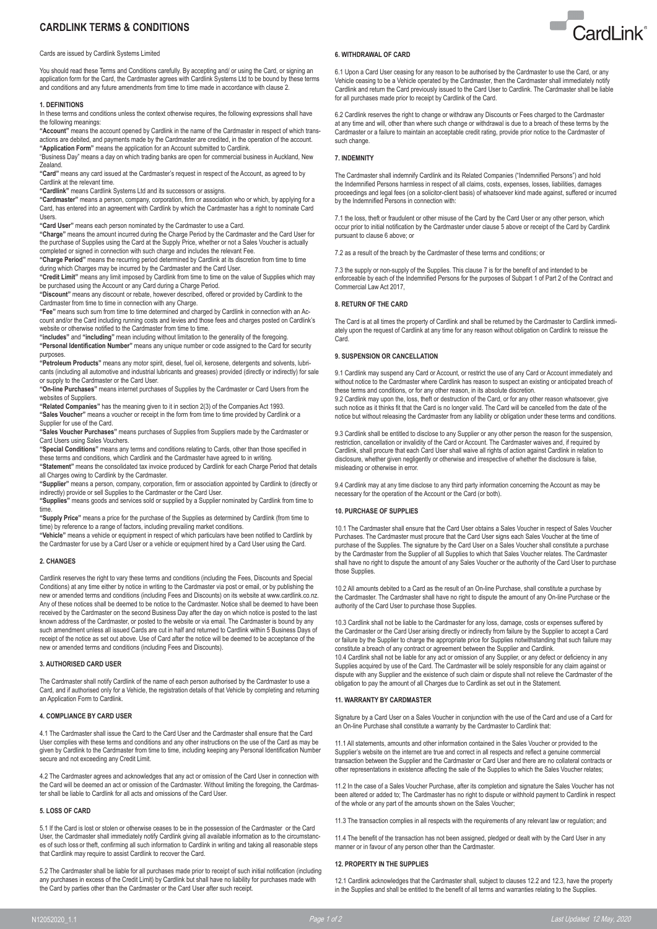# **CARDLINK TERMS & CONDITIONS**

### Cards are issued by Cardlink Systems Limited

You should read these Terms and Conditions carefully. By accepting and/ or using the Card, or signing an application form for the Card, the Cardmaster agrees with Cardlink Systems Ltd to be bound by these terms and conditions and any future amendments from time to time made in accordance with clause 2.

#### **1. DEFINITIONS**

In these terms and conditions unless the context otherwise requires, the following expressions shall have the following meanings:

**"Account"** means the account opened by Cardlink in the name of the Cardmaster in respect of which transactions are debited, and payments made by the Cardmaster are credited, in the operation of the account. **"Application Form"** means the application for an Account submitted to Cardlink.

"Business Day" means a day on which trading banks are open for commercial business in Auckland, New Zealand.

**"Card"** means any card issued at the Cardmaster's request in respect of the Account, as agreed to by Cardlink at the relevant time.

**"Cardlink"** means Cardlink Systems Ltd and its successors or assigns.

**"Cardmaster"** means a person, company, corporation, firm or association who or which, by applying for a Card, has entered into an agreement with Cardlink by which the Cardmaster has a right to nominate Card Users.

**"Card User"** means each person nominated by the Cardmaster to use a Card.

**"Charge"** means the amount incurred during the Charge Period by the Cardmaster and the Card User for the purchase of Supplies using the Card at the Supply Price, whether or not a Sales Voucher is actually completed or signed in connection with such charge and includes the relevant Fee.

**"Charge Period"** means the recurring period determined by Cardlink at its discretion from time to time during which Charges may be incurred by the Cardmaster and the Card User.

**"Credit Limit"** means any limit imposed by Cardlink from time to time on the value of Supplies which may be purchased using the Account or any Card during a Charge Period.

**"Discount"** means any discount or rebate, however described, offered or provided by Cardlink to the Cardmaster from time to time in connection with any Charge.

**"Fee"** means such sum from time to time determined and charged by Cardlink in connection with an Account and/or the Card including running costs and levies and those fees and charges posted on Cardlink's website or otherwise notified to the Cardmaster from time to time.

**"includes"** and **"including"** mean including without limitation to the generality of the foregoing. **"Personal Identification Number"** means any unique number or code assigned to the Card for security

purposes. **"Petroleum Products"** means any motor spirit, diesel, fuel oil, kerosene, detergents and solvents, lubricants (including all automotive and industrial lubricants and greases) provided (directly or indirectly) for sale or supply to the Cardmaster or the Card User.

**"On-line Purchases"** means internet purchases of Supplies by the Cardmaster or Card Users from the websites of Suppliers.

**"Related Companies"** has the meaning given to it in section 2(3) of the Companies Act 1993. **"Sales Voucher"** means a voucher or receipt in the form from time to time provided by Cardlink or a Supplier for use of the Card.

**"Sales Voucher Purchases"** means purchases of Supplies from Suppliers made by the Cardmaster or Card Users using Sales Vouchers.

**"Special Conditions"** means any terms and conditions relating to Cards, other than those specified in these terms and conditions, which Cardlink and the Cardmaster have agreed to in writing.

**"Statement"** means the consolidated tax invoice produced by Cardlink for each Charge Period that details all Charges owing to Cardlink by the Cardmaster.

**"Supplier"** means a person, company, corporation, firm or association appointed by Cardlink to (directly or indirectly) provide or sell Supplies to the Cardmaster or the Card User.

**"Supplies"** means goods and services sold or supplied by a Supplier nominated by Cardlink from time to time.

**"Supply Price"** means a price for the purchase of the Supplies as determined by Cardlink (from time to time) by reference to a range of factors, including prevailing market conditions.

**"Vehicle"** means a vehicle or equipment in respect of which particulars have been notified to Cardlink by the Cardmaster for use by a Card User or a vehicle or equipment hired by a Card User using the Card.

# **2. CHANGES**

Cardlink reserves the right to vary these terms and conditions (including the Fees, Discounts and Special Conditions) at any time either by notice in writing to the Cardmaster via post or email, or by publishing the new or amended terms and conditions (including Fees and Discounts) on its website at www.cardlink.co.nz. Any of these notices shall be deemed to be notice to the Cardmaster. Notice shall be deemed to have been received by the Cardmaster on the second Business Day after the day on which notice is posted to the last known address of the Cardmaster, or posted to the website or via email. The Cardmaster is bound by any such amendment unless all issued Cards are cut in half and returned to Cardlink within 5 Business Days of receipt of the notice as set out above. Use of Card after the notice will be deemed to be acceptance of the new or amended terms and conditions (including Fees and Discounts).

#### **3. AUTHORISED CARD USER**

The Cardmaster shall notify Cardlink of the name of each person authorised by the Cardmaster to use a Card, and if authorised only for a Vehicle, the registration details of that Vehicle by completing and returning an Application Form to Cardlink.

# **4. COMPLIANCE BY CARD USER**

4.1 The Cardmaster shall issue the Card to the Card User and the Cardmaster shall ensure that the Card User complies with these terms and conditions and any other instructions on the use of the Card as may be given by Cardlink to the Cardmaster from time to time, including keeping any Personal Identification Number secure and not exceeding any Credit Limit.

4.2 The Cardmaster agrees and acknowledges that any act or omission of the Card User in connection with the Card will be deemed an act or omission of the Cardmaster. Without limiting the foregoing, the Cardmaster shall be liable to Cardlink for all acts and omissions of the Card User.

#### **5. LOSS OF CARD**

5.1 If the Card is lost or stolen or otherwise ceases to be in the possession of the Cardmaster or the Card User, the Cardmaster shall immediately notify Cardlink giving all available information as to the circumstances of such loss or theft, confirming all such information to Cardlink in writing and taking all reasonable steps that Cardlink may require to assist Cardlink to recover the Card.

5.2 The Cardmaster shall be liable for all purchases made prior to receipt of such initial notification (including any purchases in excess of the Credit Limit) by Cardlink but shall have no liability for purchases made with the Card by parties other than the Cardmaster or the Card User after such receipt.

# **6. WITHDRAWAL OF CARD**

6.1 Upon a Card User ceasing for any reason to be authorised by the Cardmaster to use the Card, or any Vehicle ceasing to be a Vehicle operated by the Cardmaster, then the Cardmaster shall immediately notify Cardlink and return the Card previously issued to the Card User to Cardlink. The Cardmaster shall be liable for all purchases made prior to receipt by Cardlink of the Card.

6.2 Cardlink reserves the right to change or withdraw any Discounts or Fees charged to the Cardmaster at any time and will, other than where such change or withdrawal is due to a breach of these terms by the Cardmaster or a failure to maintain an acceptable credit rating, provide prior notice to the Cardmaster of such change.

### **7. INDEMNITY**

The Cardmaster shall indemnify Cardlink and its Related Companies ("Indemnified Persons") and hold the Indemnified Persons harmless in respect of all claims, costs, expenses, losses, liabilities, damages proceedings and legal fees (on a solicitor-client basis) of whatsoever kind made against, suffered or incurred by the Indemnified Persons in connection with:

7.1 the loss, theft or fraudulent or other misuse of the Card by the Card User or any other person, which occur prior to initial notification by the Cardmaster under clause 5 above or receipt of the Card by Cardlink pursuant to clause 6 above; or

7.2 as a result of the breach by the Cardmaster of these terms and conditions; or

7.3 the supply or non-supply of the Supplies. This clause 7 is for the benefit of and intended to be enforceable by each of the Indemnified Persons for the purposes of Subpart 1 of Part 2 of the Contract and Commercial Law Act 2017

# **8. RETURN OF THE CARD**

The Card is at all times the property of Cardlink and shall be returned by the Cardmaster to Cardlink immediately upon the request of Cardlink at any time for any reason without obligation on Cardlink to reissue the Card.

# **9. SUSPENSION OR CANCELLATION**

9.1 Cardlink may suspend any Card or Account, or restrict the use of any Card or Account immediately and without notice to the Cardmaster where Cardlink has reason to suspect an existing or anticipated breach of these terms and conditions, or for any other reason, in its absolute discretion.

9.2 Cardlink may upon the, loss, theft or destruction of the Card, or for any other reason whatsoever, give such notice as it thinks fit that the Card is no longer valid. The Card will be cancelled from the date of the notice but without releasing the Cardmaster from any liability or obligation under these terms and conditions.

9.3 Cardlink shall be entitled to disclose to any Supplier or any other person the reason for the suspension, restriction, cancellation or invalidity of the Card or Account. The Cardmaster waives and, if required by Cardlink, shall procure that each Card User shall waive all rights of action against Cardlink in relation to disclosure, whether given negligently or otherwise and irrespective of whether the disclosure is false, misleading or otherwise in error.

9.4 Cardlink may at any time disclose to any third party information concerning the Account as may be necessary for the operation of the Account or the Card (or both).

# **10. PURCHASE OF SUPPLIES**

10.1 The Cardmaster shall ensure that the Card User obtains a Sales Voucher in respect of Sales Voucher Purchases. The Cardmaster must procure that the Card User signs each Sales Voucher at the time of purchase of the Supplies. The signature by the Card User on a Sales Voucher shall constitute a purchase by the Cardmaster from the Supplier of all Supplies to which that Sales Voucher relates. The Cardmaster shall have no right to dispute the amount of any Sales Voucher or the authority of the Card User to purchase those Supplies.

10.2 All amounts debited to a Card as the result of an On-line Purchase, shall constitute a purchase by the Cardmaster. The Cardmaster shall have no right to dispute the amount of any On-line Purchase or the authority of the Card User to purchase those Supplies.

10.3 Cardlink shall not be liable to the Cardmaster for any loss, damage, costs or expenses suffered by the Cardmaster or the Card User arising directly or indirectly from failure by the Supplier to accept a Card or failure by the Supplier to charge the appropriate price for Supplies notwithstanding that such failure may constitute a breach of any contract or agreement between the Supplier and Cardlink. 10.4 Cardlink shall not be liable for any act or omission of any Supplier, or any defect or deficiency in any Supplies acquired by use of the Card. The Cardmaster will be solely responsible for any claim against or dispute with any Supplier and the existence of such claim or dispute shall not relieve the Cardmaster of the obligation to pay the amount of all Charges due to Cardlink as set out in the Statement.

### **11. WARRANTY BY CARDMASTER**

Signature by a Card User on a Sales Voucher in conjunction with the use of the Card and use of a Card for an On-line Purchase shall constitute a warranty by the Cardmaster to Cardlink that:

11.1 All statements, amounts and other information contained in the Sales Voucher or provided to the Supplier's website on the internet are true and correct in all respects and reflect a genuine commercial transaction between the Supplier and the Cardmaster or Card User and there are no collateral contracts or other representations in existence affecting the sale of the Supplies to which the Sales Voucher relates;

11.2 In the case of a Sales Voucher Purchase, after its completion and signature the Sales Voucher has not been altered or added to; The Cardmaster has no right to dispute or withhold payment to Cardlink in respect of the whole or any part of the amounts shown on the Sales Voucher;

11.3 The transaction complies in all respects with the requirements of any relevant law or regulation; and

11.4 The benefit of the transaction has not been assigned, pledged or dealt with by the Card User in any manner or in favour of any person other than the Cardmaster.

# **12. PROPERTY IN THE SUPPLIES**

12.1 Cardlink acknowledges that the Cardmaster shall, subject to clauses 12.2 and 12.3, have the property in the Supplies and shall be entitled to the benefit of all terms and warranties relating to the Supplies.